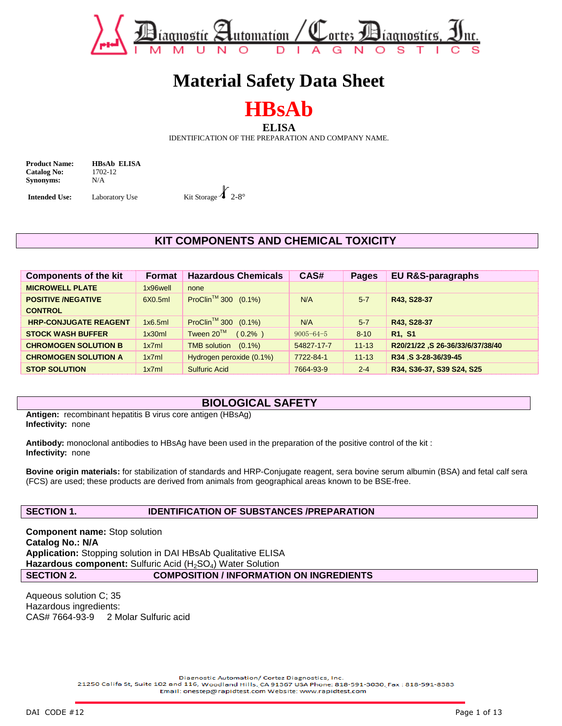

# **Material Safety Data Sheet**

**HBsAb**

**ELISA** 

IDENTIFICATION OF THE PREPARATION AND COMPANY NAME.

**Product Name: HBsAb ELISA**<br>Catalog No: **1702-12 Catalog No: Synonyms:** N/A

**Intended Use:** Laboratory Use Kit Storage  $\angle$  2-8°

# **KIT COMPONENTS AND CHEMICAL TOXICITY**

| Components of the kit        | Format   | <b>Hazardous Chemicals</b>      | CAS#            | <b>Pages</b> | <b>EU R&amp;S-paragraphs</b>     |
|------------------------------|----------|---------------------------------|-----------------|--------------|----------------------------------|
| <b>MICROWELL PLATE</b>       | 1x96well | none                            |                 |              |                                  |
| <b>POSITIVE /NEGATIVE</b>    | 6X0.5ml  | ProClin <sup>™</sup> 300 (0.1%) | N/A             | $5 - 7$      | R43, S28-37                      |
| <b>CONTROL</b>               |          |                                 |                 |              |                                  |
| <b>HRP-CONJUGATE REAGENT</b> | 1x6.5m   | ProClin <sup>™</sup> 300 (0.1%) | N/A             | $5 - 7$      | R43, S28-37                      |
| <b>STOCK WASH BUFFER</b>     | 1x30ml   | Tween 20™<br>$(0.2\%$ )         | $9005 - 64 - 5$ | $8 - 10$     | R <sub>1</sub> , S <sub>1</sub>  |
| <b>CHROMOGEN SOLUTION B</b>  | 1x7ml    | TMB solution (0.1%)             | 54827-17-7      | $11 - 13$    | R20/21/22 ,S 26-36/33/6/37/38/40 |
| <b>CHROMOGEN SOLUTION A</b>  | 1x7ml    | Hydrogen peroxide (0.1%)        | 7722-84-1       | $11 - 13$    | R34 .S 3-28-36/39-45             |
| <b>STOP SOLUTION</b>         | 1x7ml    | <b>Sulfuric Acid</b>            | 7664-93-9       | $2 - 4$      | R34, S36-37, S39 S24, S25        |

# **BIOLOGICAL SAFETY**

**Antigen:** recombinant hepatitis B virus core antigen (HBsAg) **Infectivity:** none

**Antibody:** monoclonal antibodies to HBsAg have been used in the preparation of the positive control of the kit : **Infectivity:** none

**Bovine origin materials:** for stabilization of standards and HRP-Conjugate reagent, sera bovine serum albumin (BSA) and fetal calf sera (FCS) are used; these products are derived from animals from geographical areas known to be BSE-free.

### **SECTION 1. IDENTIFICATION OF SUBSTANCES /PREPARATION**

**Component name:** Stop solution **Catalog No.: N/A Application:** Stopping solution in DAI HBsAb Qualitative ELISA Hazardous component: Sulfuric Acid (H<sub>2</sub>SO<sub>4</sub>) Water Solution **SECTION 2. COMPOSITION / INFORMATION ON INGREDIENTS** 

Aqueous solution C; 35 Hazardous ingredients: CAS# 7664-93-9 2 Molar Sulfuric acid

Diagnostic Automation/ Cortez Diagnostics, Inc.

21250 Califa St, Suite 102 and 116, Woodland Hills, CA 91367 USA Phone: 818-591-3030, Fax: 818-591-8383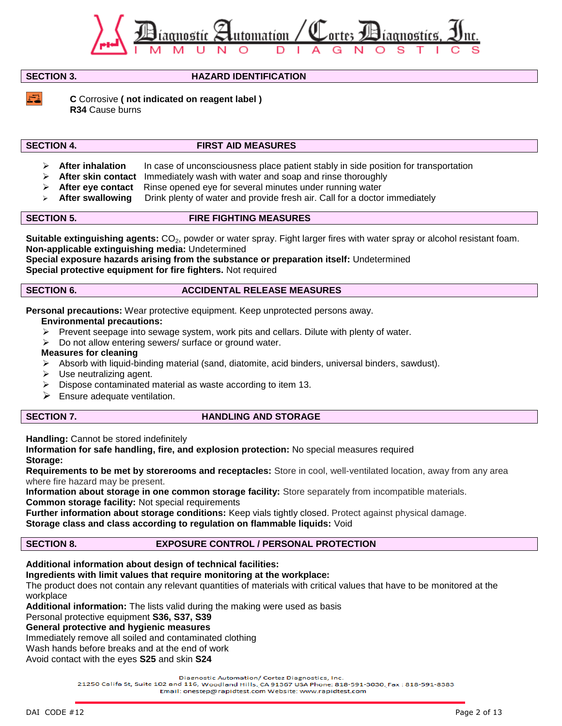

**SECTION 3. HAZARD IDENTIFICATION**

**C** Corrosive **( not indicated on reagent label ) R34** Cause burns

# **SECTION 4. FIRST AID MEASURES**

- **After inhalation** In case of unconsciousness place patient stably in side position for transportation
- **After skin contact** Immediately wash with water and soap and rinse thoroughly
- **After eye contact** Rinse opened eye for several minutes under running water
- **After swallowing** Drink plenty of water and provide fresh air. Call for a doctor immediately

# **SECTION 5. FIRE FIGHTING MEASURES**

**Suitable extinguishing agents:** CO<sub>2</sub>, powder or water spray. Fight larger fires with water spray or alcohol resistant foam. **Non-applicable extinguishing media:** Undetermined

**Special exposure hazards arising from the substance or preparation itself:** Undetermined **Special protective equipment for fire fighters.** Not required

### **SECTION 6. ACCIDENTAL RELEASE MEASURES**

**Personal precautions:** Wear protective equipment. Keep unprotected persons away.

### **Environmental precautions:**

- $\triangleright$  Prevent seepage into sewage system, work pits and cellars. Dilute with plenty of water.
- Do not allow entering sewers/ surface or ground water.

### **Measures for cleaning**

- $\triangleright$  Absorb with liquid-binding material (sand, diatomite, acid binders, universal binders, sawdust).
- Use neutralizing agent.
- Dispose contaminated material as waste according to item 13.
- $\triangleright$  Ensure adequate ventilation.

# **SECTION 7.** HANDLING AND STORAGE

**Handling:** Cannot be stored indefinitely

**Information for safe handling, fire, and explosion protection:** No special measures required **Storage:**

**Requirements to be met by storerooms and receptacles:** Store in cool, well-ventilated location, away from any area where fire hazard may be present.

**Information about storage in one common storage facility:** Store separately from incompatible materials.

**Common storage facility:** Not special requirements

**Further information about storage conditions:** Keep vials tightly closed. Protect against physical damage.

**Storage class and class according to regulation on flammable liquids:** Void

# **SECTION 8. EXPOSURE CONTROL / PERSONAL PROTECTION**

# **Additional information about design of technical facilities:**

# **Ingredients with limit values that require monitoring at the workplace:**

The product does not contain any relevant quantities of materials with critical values that have to be monitored at the workplace

**Additional information:** The lists valid during the making were used as basis

Personal protective equipment **S36, S37, S39** 

**General protective and hygienic measures**

Immediately remove all soiled and contaminated clothing

Wash hands before breaks and at the end of work

Avoid contact with the eyes **S25** and skin **S24**

Diagnostic Automation/ Cortez Diagnostics, Inc.

21250 Califa St, Suite 102 and 116, Woodland Hills, CA 91367 USA Phone: 818-591-3030, Fax: 818-591-8383 Email: onestep@rapidtest.com Website: www.rapidtest.com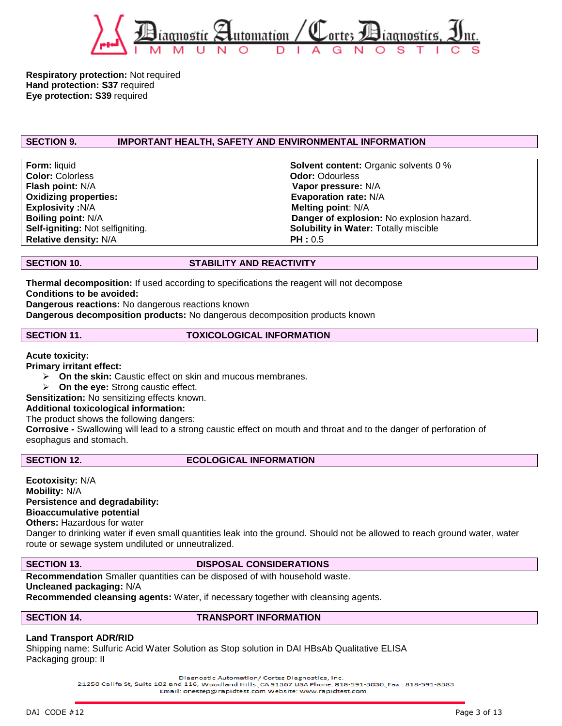

**Respiratory protection:** Not required **Hand protection: S37** required **Eye protection: S39** required

# **SECTION 9. IMPORTANT HEALTH, SAFETY AND ENVIRONMENTAL INFORMATION**

**Color:** Colorless **Color: Colorless Odor: Odor: Odor: Odor: Odor: Odor: Odor: Odor: Odor: Odor: Odor: Odor: Odor: Odor: Odor: Odor: Odor: Odor: Odor: Odor: Odor: Odor: Odor: Flash point:** N/A **Vapor pressure:** N/A **Oxidizing properties:** Evaporation rate: N/A **Explosivity :**N/A **Melting point:** N/A **Relative density:** N/A **PH : 0.5** 

**Form:** liquid **Solvent content:** Organic solvents 0 % **Boiling point:** N/A **Danger of explosion:** No explosion hazard. **Self-igniting:** Not selfigniting. **Solubility in Water:** Totally miscible

### **SECTION 10. STABILITY AND REACTIVITY**

**Thermal decomposition:** If used according to specifications the reagent will not decompose **Conditions to be avoided:**

**Dangerous reactions:** No dangerous reactions known

**Dangerous decomposition products:** No dangerous decomposition products known

### **SECTION 11. TOXICOLOGICAL INFORMATION**

**Acute toxicity:**

**Primary irritant effect:**

- **On the skin:** Caustic effect on skin and mucous membranes.
- **On the eye:** Strong caustic effect.

**Sensitization:** No sensitizing effects known.

### **Additional toxicological information:**

The product shows the following dangers:

**Corrosive -** Swallowing will lead to a strong caustic effect on mouth and throat and to the danger of perforation of esophagus and stomach.

### **SECTION 12.** ECOLOGICAL INFORMATION

**Ecotoxisity:** N/A **Mobility:** N/A **Persistence and degradability: Bioaccumulative potential Others:** Hazardous for water

Danger to drinking water if even small quantities leak into the ground. Should not be allowed to reach ground water, water route or sewage system undiluted or unneutralized.

#### **SECTION 13.** DISPOSAL CONSIDERATIONS

**Recommendation** Smaller quantities can be disposed of with household waste.

# **Uncleaned packaging:** N/A

**Recommended cleansing agents:** Water, if necessary together with cleansing agents.

**SECTION 14. TRANSPORT INFORMATION**

### **Land Transport ADR/RID**

Shipping name: Sulfuric Acid Water Solution as Stop solution in DAI HBsAb Qualitative ELISA Packaging group: II

Diagnostic Automation/ Cortez Diagnostics, Inc.

21250 Califa St, Suite 102 and 116, Woodland Hills, CA 91367 USA Phone: 818-591-3030, Fax: 818-591-8383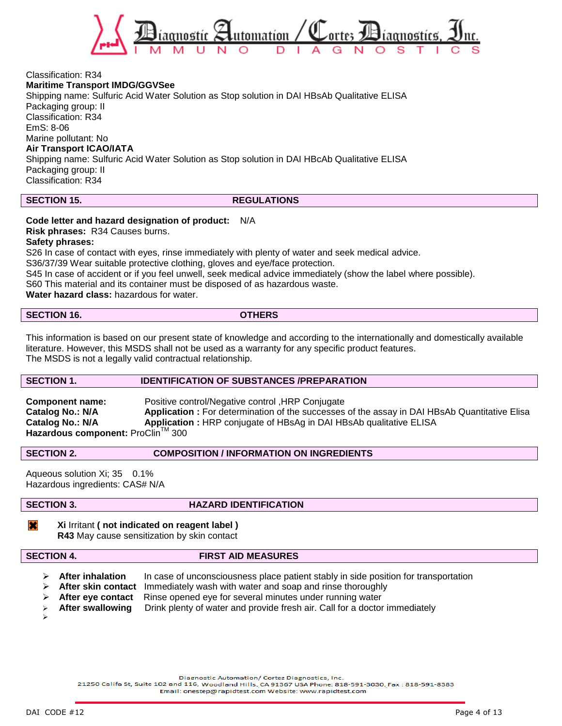

#### Classification: R34 **Maritime Transport IMDG/GGVSee**

Shipping name: Sulfuric Acid Water Solution as Stop solution in DAI HBsAb Qualitative ELISA Packaging group: II Classification: R34 EmS: 8-06 Marine pollutant: No **Air Transport ICAO/IATA** Shipping name: Sulfuric Acid Water Solution as Stop solution in DAI HBcAb Qualitative ELISA Packaging group: II Classification: R34

#### **SECTION 15.** REGULATIONS

# **Code letter and hazard designation of product:** N/A

**Risk phrases:** R34 Causes burns.

#### **Safety phrases:**

S26 In case of contact with eyes, rinse immediately with plenty of water and seek medical advice.

S36/37/39 Wear suitable protective clothing, gloves and eye/face protection.

S45 In case of accident or if you feel unwell, seek medical advice immediately (show the label where possible).

S60 This material and its container must be disposed of as hazardous waste.

**Water hazard class:** hazardous for water.

#### **SECTION 16. OTHERS**

This information is based on our present state of knowledge and according to the internationally and domestically available literature. However, this MSDS shall not be used as a warranty for any specific product features. The MSDS is not a legally valid contractual relationship.

### **SECTION 1. IDENTIFICATION OF SUBSTANCES /PREPARATION**

| <b>Component name:</b>            | Positive control/Negative control, HRP Conjugate                                                    |
|-----------------------------------|-----------------------------------------------------------------------------------------------------|
| Catalog No.: N/A                  | <b>Application:</b> For determination of the successes of the assay in DAI HBsAb Quantitative Elisa |
| Catalog No.: N/A                  | Application: HRP conjugate of HBsAg in DAI HBsAb qualitative ELISA                                  |
| Hazardous component: ProClin™ 300 |                                                                                                     |

**SECTION 2. COMPOSITION / INFORMATION ON INGREDIENTS** 

Aqueous solution Xi; 35 0.1% Hazardous ingredients: CAS# N/A

### **SECTION 3. HAZARD IDENTIFICATION**

 $\overline{\bm{x}}$ **Xi** Irritant **( not indicated on reagent label ) R43** May cause sensitization by skin contact

➤

### **SECTION 4. FIRST AID MEASURES**

- **EXECTER 14 After inhalation** In case of unconsciousness place patient stably in side position for transportation
- **After skin contact** Immediately wash with water and soap and rinse thoroughly
- **After eye contact** Rinse opened eye for several minutes under running water
- **After swallowing** Drink plenty of water and provide fresh air. Call for a doctor immediately

Diagnostic Automation/ Cortez Diagnostics, Inc.

21250 Califa St, Suite 102 and 116, Woodland Hills, CA 91367 USA Phone: 818-591-3030, Fax: 818-591-8383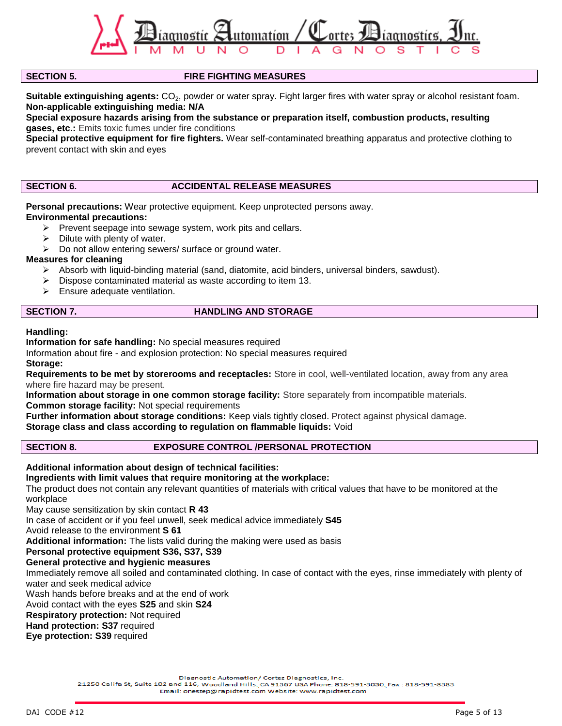

# **SECTION 5. FIRE FIGHTING MEASURES**

**Suitable extinguishing agents:** CO<sub>2</sub>, powder or water spray. Fight larger fires with water spray or alcohol resistant foam. **Non-applicable extinguishing media: N/A**

**Special exposure hazards arising from the substance or preparation itself, combustion products, resulting gases, etc.:** Emits toxic fumes under fire conditions

**Special protective equipment for fire fighters.** Wear self-contaminated breathing apparatus and protective clothing to prevent contact with skin and eyes

### **SECTION 6. ACCIDENTAL RELEASE MEASURES**

**Personal precautions:** Wear protective equipment. Keep unprotected persons away.

### **Environmental precautions:**

- $\triangleright$  Prevent seepage into sewage system, work pits and cellars.
- Dilute with plenty of water.
- $\triangleright$  Do not allow entering sewers/ surface or ground water.

### **Measures for cleaning**

- Absorb with liquid-binding material (sand, diatomite, acid binders, universal binders, sawdust).
- $\triangleright$  Dispose contaminated material as waste according to item 13.
- $\triangleright$  Ensure adequate ventilation.

### **SECTION 7. HANDLING AND STORAGE**

**Handling:**

**Information for safe handling:** No special measures required

Information about fire - and explosion protection: No special measures required **Storage:**

**Requirements to be met by storerooms and receptacles:** Store in cool, well-ventilated location, away from any area where fire hazard may be present.

**Information about storage in one common storage facility:** Store separately from incompatible materials. **Common storage facility:** Not special requirements

**Further information about storage conditions:** Keep vials tightly closed. Protect against physical damage.

**Storage class and class according to regulation on flammable liquids:** Void

**SECTION 8. EXPOSURE CONTROL /PERSONAL PROTECTION**

### **Additional information about design of technical facilities:**

### **Ingredients with limit values that require monitoring at the workplace:**

The product does not contain any relevant quantities of materials with critical values that have to be monitored at the workplace

May cause sensitization by skin contact **R 43**

In case of accident or if you feel unwell, seek medical advice immediately **S45**

Avoid release to the environment **S 61**

**Additional information:** The lists valid during the making were used as basis

#### **Personal protective equipment S36, S37, S39**

#### **General protective and hygienic measures**

Immediately remove all soiled and contaminated clothing. In case of contact with the eyes, rinse immediately with plenty of water and seek medical advice

Wash hands before breaks and at the end of work

Avoid contact with the eyes **S25** and skin **S24**

**Respiratory protection:** Not required

**Hand protection: S37** required

**Eye protection: S39** required

Diagnostic Automation/ Cortez Diagnostics, Inc.

21250 Califa St, Suite 102 and 116, Woodland Hills, CA 91367 USA Phone: 818-591-3030, Fax: 818-591-8383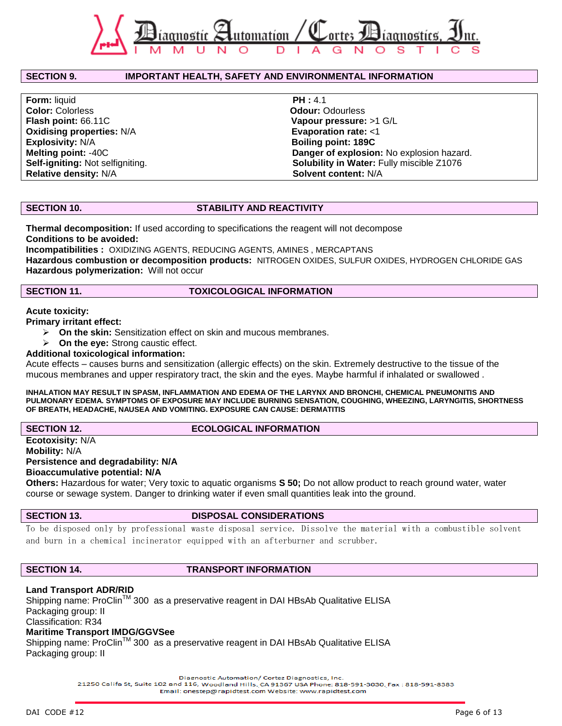

#### **SECTION 9. IMPORTANT HEALTH, SAFETY AND ENVIRONMENTAL INFORMATION**

**Form:** liquid **PH :** 4.1 **Color:** Colorless **Color:** Colorless **Odour:** Odourless **Flash point:** 66.11C **Vapour pressure:** >1 G/L **Oxidising properties: N/A <b>Evaporation rate:** <1 **Explosivity:** N/A **Boiling point: 189C Relative density: N/A**  $\qquad \qquad$  **Solvent content:** N/A

**Melting point:** -40C **Danger of explosion:** No explosion hazard. **Self-igniting:** Not selfigniting. **Solubility in Water:** Fully miscible Z1076

#### **SECTION 10. STABILITY AND REACTIVITY**

**Thermal decomposition:** If used according to specifications the reagent will not decompose **Conditions to be avoided:**

**Incompatibilities :** OXIDIZING AGENTS, REDUCING AGENTS, AMINES , MERCAPTANS **Hazardous combustion or decomposition products:** NITROGEN OXIDES, SULFUR OXIDES, HYDROGEN CHLORIDE GAS **Hazardous polymerization:** Will not occur

#### **SECTION 11. TOXICOLOGICAL INFORMATION**

#### **Acute toxicity:**

**Primary irritant effect:**

- **On the skin:** Sensitization effect on skin and mucous membranes.
- **On the eye:** Strong caustic effect.

#### **Additional toxicological information:**

Acute effects – causes burns and sensitization (allergic effects) on the skin. Extremely destructive to the tissue of the mucous membranes and upper respiratory tract, the skin and the eyes. Maybe harmful if inhalated or swallowed .

#### **INHALATION MAY RESULT IN SPASM, INFLAMMATION AND EDEMA OF THE LARYNX AND BRONCHI, CHEMICAL PNEUMONITIS AND PULMONARY EDEMA. SYMPTOMS OF EXPOSURE MAY INCLUDE BURNING SENSATION, COUGHING, WHEEZING, LARYNGITIS, SHORTNESS OF BREATH, HEADACHE, NAUSEA AND VOMITING. EXPOSURE CAN CAUSE: DERMATITIS**

### **SECTION 12.** ECOLOGICAL INFORMATION

**Ecotoxisity:** N/A **Mobility:** N/A **Persistence and degradability: N/A Bioaccumulative potential: N/A**

**Others:** Hazardous for water; Very toxic to aquatic organisms **S 50;** Do not allow product to reach ground water, water course or sewage system. Danger to drinking water if even small quantities leak into the ground.

#### **SECTION 13. DISPOSAL CONSIDERATIONS**

To be disposed only by professional waste disposal service. Dissolve the material with a combustible solvent and burn in a chemical incinerator equipped with an afterburner and scrubber.

#### **SECTION 14. TRANSPORT INFORMATION**

### **Land Transport ADR/RID**

Shipping name: ProClin<sup>™</sup> 300 as a preservative reagent in DAI HBsAb Qualitative ELISA Packaging group: II Classification: R34

# **Maritime Transport IMDG/GGVSee**

Shipping name: ProClin<sup>™</sup> 300 as a preservative reagent in DAI HBsAb Qualitative ELISA Packaging group: II

Diagnostic Automation/ Cortez Diagnostics, Inc.

21250 Califa St, Suite 102 and 116, Woodland Hills, CA 91367 USA Phone: 818-591-3030, Fax: 818-591-8383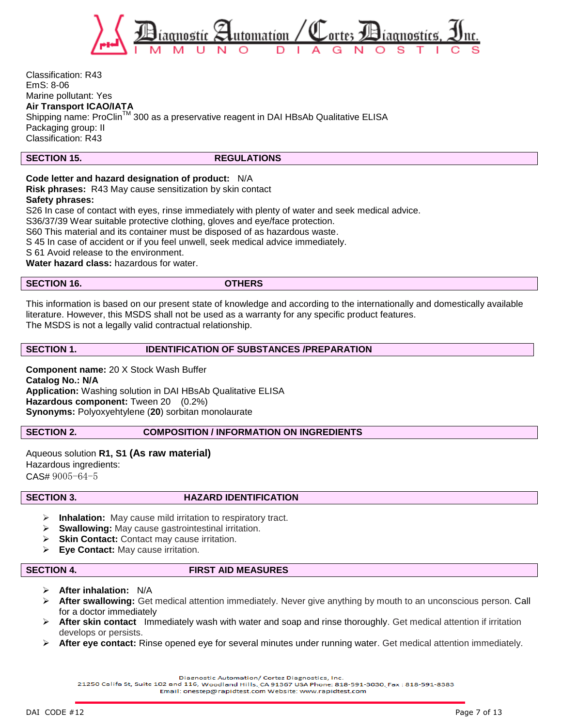

Classification: R43 EmS: 8-06 Marine pollutant: Yes **Air Transport ICAO/IATA** Shipping name: ProClin™ 300 as a preservative reagent in DAI HBsAb Qualitative ELISA Packaging group: II Classification: R43

#### **SECTION 15.** REGULATIONS

### **Code letter and hazard designation of product:** N/A

**Risk phrases:** R43 May cause sensitization by skin contact

#### **Safety phrases:**

S26 In case of contact with eyes, rinse immediately with plenty of water and seek medical advice.

S36/37/39 Wear suitable protective clothing, gloves and eye/face protection.

S60 This material and its container must be disposed of as hazardous waste.

S 45 In case of accident or if you feel unwell, seek medical advice immediately.

S 61 Avoid release to the environment.

**Water hazard class:** hazardous for water.

# **SECTION 16. OTHERS**

This information is based on our present state of knowledge and according to the internationally and domestically available literature. However, this MSDS shall not be used as a warranty for any specific product features. The MSDS is not a legally valid contractual relationship.

### **SECTION 1. IDENTIFICATION OF SUBSTANCES /PREPARATION**

**Component name:** 20 X Stock Wash Buffer **Catalog No.: N/A Application:** Washing solution in DAI HBsAb Qualitative ELISA **Hazardous component:** Tween 20 (0.2%) **Synonyms:** Polyoxyehtylene (**20**) sorbitan monolaurate

#### **SECTION 2. COMPOSITION / INFORMATION ON INGREDIENTS**

Aqueous solution **R1, S1 (As raw material)** Hazardous ingredients: CAS# 9005-64-5

### **SECTION 3. HAZARD IDENTIFICATION**

- **Inhalation:** May cause mild irritation to respiratory tract.
- **Swallowing:** May cause gastrointestinal irritation.
- **Skin Contact:** Contact may cause irritation.
- **Eye Contact:** May cause irritation.

# **SECTION 4. FIRST AID MEASURES**

- **After inhalation:** N/A
- **After swallowing:** Get medical attention immediately. Never give anything by mouth to an unconscious person. Call for a doctor immediately
- **After skin contact** Immediately wash with water and soap and rinse thoroughly. Get medical attention if irritation develops or persists.
- **After eye contact:** Rinse opened eye for several minutes under running water. Get medical attention immediately.

Diagnostic Automation/ Cortez Diagnostics, Inc.

21250 Califa St, Suite 102 and 116, Woodland Hills, CA 91367 USA Phone: 818-591-3030, Fax: 818-591-8383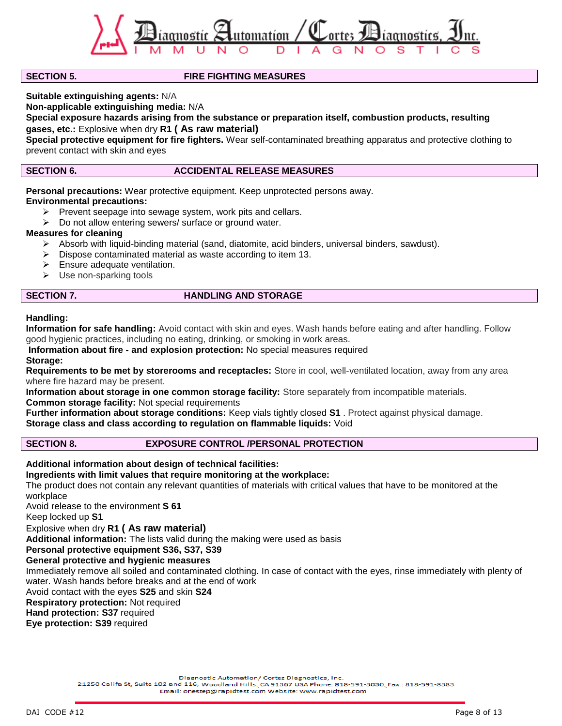

# **SECTION 5. FIRE FIGHTING MEASURES**

**Suitable extinguishing agents:** N/A

**Non-applicable extinguishing media:** N/A

**Special exposure hazards arising from the substance or preparation itself, combustion products, resulting gases, etc.:** Explosive when dry **R1 ( As raw material)** 

**Special protective equipment for fire fighters.** Wear self-contaminated breathing apparatus and protective clothing to prevent contact with skin and eyes

# **SECTION 6.** ACCIDENTAL RELEASE MEASURES

**Personal precautions:** Wear protective equipment. Keep unprotected persons away.

# **Environmental precautions:**

- $\triangleright$  Prevent seepage into sewage system, work pits and cellars.
- $\triangleright$  Do not allow entering sewers/ surface or ground water.

# **Measures for cleaning**

- $\triangleright$  Absorb with liquid-binding material (sand, diatomite, acid binders, universal binders, sawdust).
- $\triangleright$  Dispose contaminated material as waste according to item 13.
- $\triangleright$  Ensure adequate ventilation.
- $\triangleright$  Use non-sparking tools

# **SECTION 7. HANDLING AND STORAGE**

# **Handling:**

**Information for safe handling:** Avoid contact with skin and eyes. Wash hands before eating and after handling. Follow good hygienic practices, including no eating, drinking, or smoking in work areas.

**Information about fire - and explosion protection:** No special measures required

#### **Storage:**

**Requirements to be met by storerooms and receptacles:** Store in cool, well-ventilated location, away from any area where fire hazard may be present.

**Information about storage in one common storage facility:** Store separately from incompatible materials. **Common storage facility:** Not special requirements

**Further information about storage conditions:** Keep vials tightly closed **S1** . Protect against physical damage. **Storage class and class according to regulation on flammable liquids:** Void

# **SECTION 8. EXPOSURE CONTROL /PERSONAL PROTECTION**

**Additional information about design of technical facilities:**

**Ingredients with limit values that require monitoring at the workplace:**

The product does not contain any relevant quantities of materials with critical values that have to be monitored at the workplace

Avoid release to the environment **S 61**

Keep locked up **S1**

# Explosive when dry **R1 ( As raw material)**

**Additional information:** The lists valid during the making were used as basis

**Personal protective equipment S36, S37, S39** 

# **General protective and hygienic measures**

Immediately remove all soiled and contaminated clothing. In case of contact with the eyes, rinse immediately with plenty of water. Wash hands before breaks and at the end of work

Avoid contact with the eyes **S25** and skin **S24**

# **Respiratory protection:** Not required

**Hand protection: S37** required

**Eye protection: S39** required

Diagnostic Automation/ Cortez Diagnostics, Inc.

21250 Califa St, Suite 102 and 116, Woodland Hills, CA 91367 USA Phone: 818-591-3030, Fax: 818-591-8383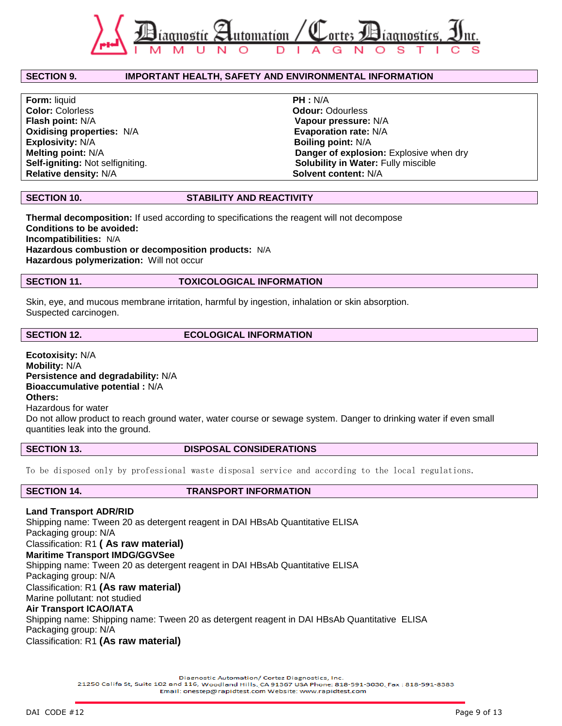

# **SECTION 9. IMPORTANT HEALTH, SAFETY AND ENVIRONMENTAL INFORMATION**

**Form:** liquid **PH :** N/A **Color:** Colorless **Color: Color: Color: Odour: Odour: Odour: Odour: Odour: Odour: Odour: Odour: Odour: Odour: Odour: Odour: Odour: Odour: Odour: Odour: Odour: Odour: Odour: Odou Flash point:** N/A **Vapour pressure:** N/A **Oxidising properties: N/A Explosivity:** N/A **Boiling point:** N/A **Relative density: N/A**  $\qquad \qquad$  **Solvent content:** N/A

**Melting point:** N/A **Danger of explosion:** Explosive when dry **Self-igniting:** Not selfigniting. **Solubility in Water:** Fully miscible

# **SECTION 10. STABILITY AND REACTIVITY**

**Thermal decomposition:** If used according to specifications the reagent will not decompose **Conditions to be avoided: Incompatibilities:** N/A **Hazardous combustion or decomposition products:** N/A **Hazardous polymerization:** Will not occur

#### **SECTION 11. TOXICOLOGICAL INFORMATION**

Skin, eye, and mucous membrane irritation, harmful by ingestion, inhalation or skin absorption. Suspected carcinogen.

# **SECTION 12.** ECOLOGICAL INFORMATION

**Ecotoxisity:** N/A **Mobility:** N/A **Persistence and degradability:** N/A **Bioaccumulative potential :** N/A **Others:** Hazardous for water

Do not allow product to reach ground water, water course or sewage system. Danger to drinking water if even small quantities leak into the ground.

### SECTION 13. DISPOSAL CONSIDERATIONS

To be disposed only by professional waste disposal service and according to the local regulations.

#### **SECTION 14. TRANSPORT INFORMATION**

**Land Transport ADR/RID** Shipping name: Tween 20 as detergent reagent in DAI HBsAb Quantitative ELISA Packaging group: N/A Classification: R1 **( As raw material) Maritime Transport IMDG/GGVSee** Shipping name: Tween 20 as detergent reagent in DAI HBsAb Quantitative ELISA Packaging group: N/A Classification: R1 **(As raw material)** Marine pollutant: not studied

### **Air Transport ICAO/IATA**

Shipping name: Shipping name: Tween 20 as detergent reagent in DAI HBsAb Quantitative ELISA Packaging group: N/A

Classification: R1 **(As raw material)**

Diagnostic Automation/ Cortez Diagnostics, Inc.

21250 Califa St, Suite 102 and 116, Woodland Hills, CA 91367 USA Phone: 818-591-3030, Fax: 818-591-8383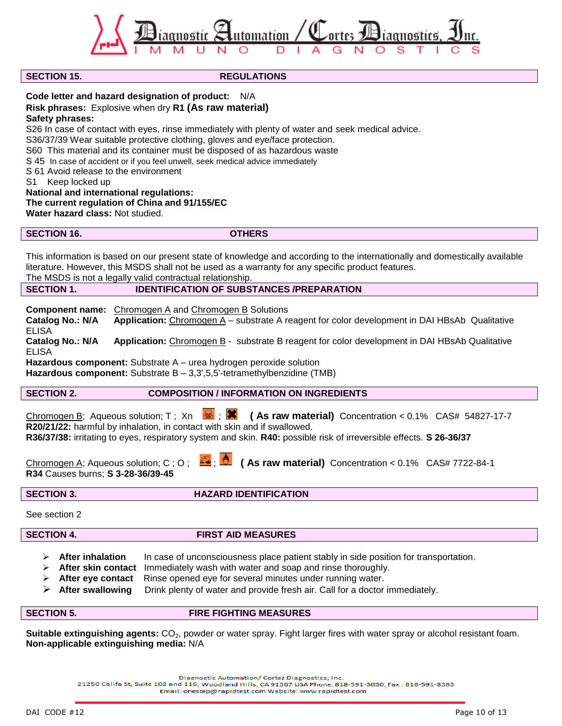agnostíc  $\approx$ utomatíon / iaonostire

# **SECTION 15.** REGULATIONS

**Code letter and hazard designation of product:** N/A

# **Risk phrases:** Explosive when dry **R1 (As raw material)**

**Safety phrases:**

S26 In case of contact with eyes, rinse immediately with plenty of water and seek medical advice.

S36/37/39 Wear suitable protective clothing, gloves and eye/face protection.

S60 This material and its container must be disposed of as hazardous waste

S 45 In case of accident or if you feel unwell, seek medical advice immediately

S 61 Avoid release to the environment

S1 Keep locked up

**National and international regulations:**

**The current regulation of China and 91/155/EC**

**Water hazard class:** Not studied.

**SECTION 16. OTHERS**

This information is based on our present state of knowledge and according to the internationally and domestically available literature. However, this MSDS shall not be used as a warranty for any specific product features. The MSDS is not a legally valid contractual relationship.

**SECTION 1. IDENTIFICATION OF SUBSTANCES /PREPARATION** 

**Component name:** Chromogen A and Chromogen B Solutions

**Catalog No.: N/A Application:** Chromogen A – substrate A reagent for color development in DAI HBsAb Qualitative ELISA **Catalog No.: N/A Application:** Chromogen B - substrate B reagent for color development in DAI HBsAb Qualitative

ELISA **Hazardous component:** Substrate A – urea hydrogen peroxide solution

Hazardous component: Substrate B - 3,3',5,5'-tetramethylbenzidine (TMB)

**SECTION 2. COMPOSITION / INFORMATION ON INGREDIENTS** 

Chromogen B: Aqueous solution; T ; Xn  $\bullet$ ; **X** (As raw material) Concentration < 0.1% CAS# 54827-17-7 **R20/21/22:** harmful by inhalation, in contact with skin and if swallowed. **R36/37/38:** irritating to eyes, respiratory system and skin. **R40:** possible risk of irreversible effects. **S 26-36/37**

Chromogen A; Aqueous solution; C; O;  $\frac{1}{2}$ ;  $\frac{1}{2}$  (As raw material) Concentration < 0.1% CAS# 7722-84-1 **R34** Causes burns; **S 3-28-36/39-45**

**SECTION 3. HAZARD IDENTIFICATION**

See section 2

**SECTION 4. FIRST AID MEASURES** 

- **EXECTER After inhalation** In case of unconsciousness place patient stably in side position for transportation.
- **After skin contact** Immediately wash with water and soap and rinse thoroughly.
- **After eye contact** Rinse opened eye for several minutes under running water.
- **After swallowing** Drink plenty of water and provide fresh air. Call for a doctor immediately.

**SECTION 5. FIRE FIGHTING MEASURES** 

**Suitable extinguishing agents:** CO<sub>2</sub>, powder or water spray. Fight larger fires with water spray or alcohol resistant foam. **Non-applicable extinguishing media:** N/A

Diagnostic Automation/ Cortez Diagnostics, Inc.

21250 Califa St, Suite 102 and 116, Woodland Hills, CA 91367 USA Phone: 818-591-3030, Fax: 818-591-8383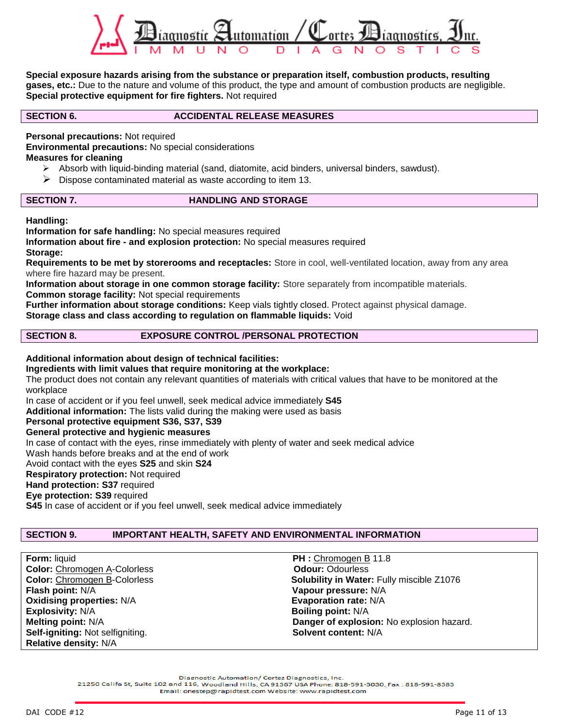

**Special exposure hazards arising from the substance or preparation itself, combustion products, resulting gases, etc.:** Due to the nature and volume of this product, the type and amount of combustion products are negligible. **Special protective equipment for fire fighters.** Not required

### **SECTION 6. ACCIDENTAL RELEASE MEASURES**

**Personal precautions:** Not required

**Environmental precautions:** No special considerations

# **Measures for cleaning**

- $\triangleright$  Absorb with liquid-binding material (sand, diatomite, acid binders, universal binders, sawdust).
- $\triangleright$  Dispose contaminated material as waste according to item 13.

### **SECTION 7.** HANDLING AND STORAGE

**Handling:**

**Information for safe handling:** No special measures required

**Information about fire - and explosion protection:** No special measures required **Storage:**

**Requirements to be met by storerooms and receptacles:** Store in cool, well-ventilated location, away from any area where fire hazard may be present.

**Information about storage in one common storage facility:** Store separately from incompatible materials. **Common storage facility:** Not special requirements

**Further information about storage conditions:** Keep vials tightly closed. Protect against physical damage. **Storage class and class according to regulation on flammable liquids:** Void

# **SECTION 8. EXPOSURE CONTROL /PERSONAL PROTECTION**

**Additional information about design of technical facilities:**

# **Ingredients with limit values that require monitoring at the workplace:**

The product does not contain any relevant quantities of materials with critical values that have to be monitored at the workplace

In case of accident or if you feel unwell, seek medical advice immediately **S45**

**Additional information:** The lists valid during the making were used as basis

**Personal protective equipment S36, S37, S39** 

### **General protective and hygienic measures**

In case of contact with the eyes, rinse immediately with plenty of water and seek medical advice

Wash hands before breaks and at the end of work

Avoid contact with the eyes **S25** and skin **S24**

# **Respiratory protection:** Not required

**Hand protection: S37** required

**Eye protection: S39** required

**S45** In case of accident or if you feel unwell, seek medical advice immediately

# **SECTION 9. IMPORTANT HEALTH, SAFETY AND ENVIRONMENTAL INFORMATION**

**Form:** liquid **PH :** Chromogen B 11.8 **Color:** Chromogen A-Colorless **Color:** Odour: Odourless **Color:** Chromogen B-Colorless **Color: Chromogen B-Colorless Flash point:** N/A **Vapour pressure:** N/A **Oxidising properties:**  $N/A$  **Evaporation rate:**  $N/A$ **Explosivity:** N/A **Boiling point:** N/A **Self-igniting:** Not selfigniting. **Solvent content:** N/A **Relative density:** N/A

Solubility in Water: Fully miscible Z1076 **Melting point:** N/A **Danger of explosion:** No explosion hazard.

Diagnostic Automation/ Cortez Diagnostics, Inc.

21250 Califa St, Suite 102 and 116, Woodland Hills, CA 91367 USA Phone: 818-591-3030, Fax: 818-591-8383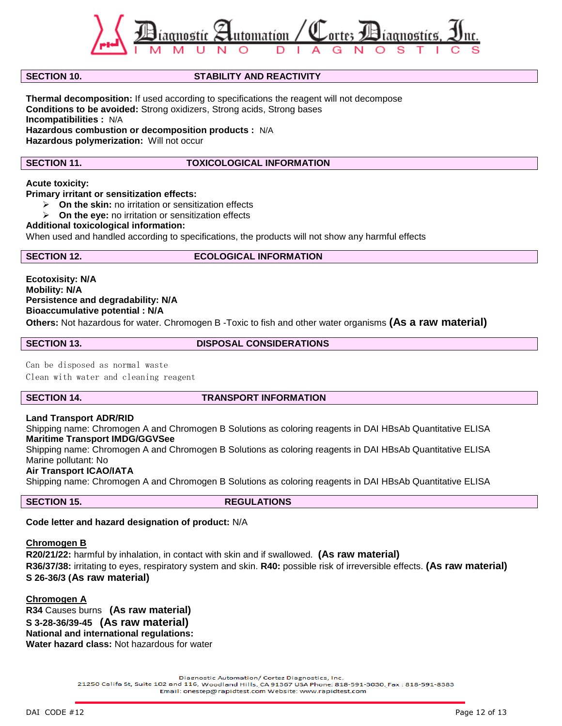

### **SECTION 10. STABILITY AND REACTIVITY**

**Thermal decomposition:** If used according to specifications the reagent will not decompose **Conditions to be avoided:** Strong oxidizers, Strong acids, Strong bases **Incompatibilities :** N/A **Hazardous combustion or decomposition products :** N/A **Hazardous polymerization:** Will not occur

### **SECTION 11. TOXICOLOGICAL INFORMATION**

#### **Acute toxicity:**

**Primary irritant or sensitization effects:**

- **On the skin:** no irritation or sensitization effects
- **On the eye:** no irritation or sensitization effects

#### **Additional toxicological information:**

When used and handled according to specifications, the products will not show any harmful effects

#### **SECTION 12.** ECOLOGICAL INFORMATION

**Ecotoxisity: N/A Mobility: N/A Persistence and degradability: N/A Bioaccumulative potential : N/A Others:** Not hazardous for water. Chromogen B -Toxic to fish and other water organisms **(As a raw material)**

**SECTION 13. DISPOSAL CONSIDERATIONS**

Can be disposed as normal waste

Clean with water and cleaning reagent

#### **SECTION 14. TRANSPORT INFORMATION**

# **Land Transport ADR/RID**

Shipping name: Chromogen A and Chromogen B Solutions as coloring reagents in DAI HBsAb Quantitative ELISA **Maritime Transport IMDG/GGVSee**

Shipping name: Chromogen A and Chromogen B Solutions as coloring reagents in DAI HBsAb Quantitative ELISA Marine pollutant: No

# **Air Transport ICAO/IATA**

Shipping name: Chromogen A and Chromogen B Solutions as coloring reagents in DAI HBsAb Quantitative ELISA

**SECTION 15.** REGULATIONS

### **Code letter and hazard designation of product:** N/A

#### **Chromogen B**

**R20/21/22:** harmful by inhalation, in contact with skin and if swallowed. **(As raw material) R36/37/38:** irritating to eyes, respiratory system and skin. **R40:** possible risk of irreversible effects. **(As raw material) S 26-36/3 (As raw material)**

### **Chromogen A**

**R34** Causes burns **(As raw material) S 3-28-36/39-45 (As raw material) National and international regulations: Water hazard class:** Not hazardous for water

Diagnostic Automation/ Cortez Diagnostics, Inc.

21250 Califa St, Suite 102 and 116, Woodland Hills, CA 91367 USA Phone: 818-591-3030, Fax: 818-591-8383